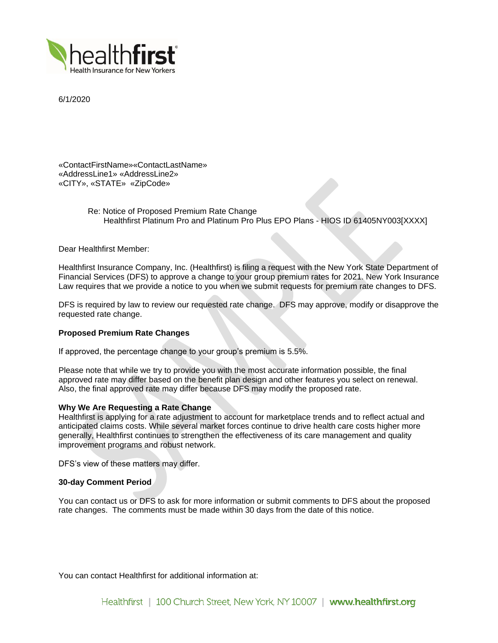

6/1/2020

«ContactFirstName»«ContactLastName» «AddressLine1» «AddressLine2» «CITY», «STATE» «ZipCode»

> Re: Notice of Proposed Premium Rate Change Healthfirst Platinum Pro and Platinum Pro Plus EPO Plans - HIOS ID 61405NY003[XXXX]

Dear Healthfirst Member:

Healthfirst Insurance Company, Inc. (Healthfirst) is filing a request with the New York State Department of Financial Services (DFS) to approve a change to your group premium rates for 2021. New York Insurance Law requires that we provide a notice to you when we submit requests for premium rate changes to DFS.

DFS is required by law to review our requested rate change. DFS may approve, modify or disapprove the requested rate change.

# **Proposed Premium Rate Changes**

If approved, the percentage change to your group's premium is 5.5%.

Please note that while we try to provide you with the most accurate information possible, the final approved rate may differ based on the benefit plan design and other features you select on renewal. Also, the final approved rate may differ because DFS may modify the proposed rate.

### **Why We Are Requesting a Rate Change**

Healthfirst is applying for a rate adjustment to account for marketplace trends and to reflect actual and anticipated claims costs. While several market forces continue to drive health care costs higher more generally, Healthfirst continues to strengthen the effectiveness of its care management and quality improvement programs and robust network.

DFS's view of these matters may differ.

# **30-day Comment Period**

You can contact us or DFS to ask for more information or submit comments to DFS about the proposed rate changes. The comments must be made within 30 days from the date of this notice.

You can contact Healthfirst for additional information at: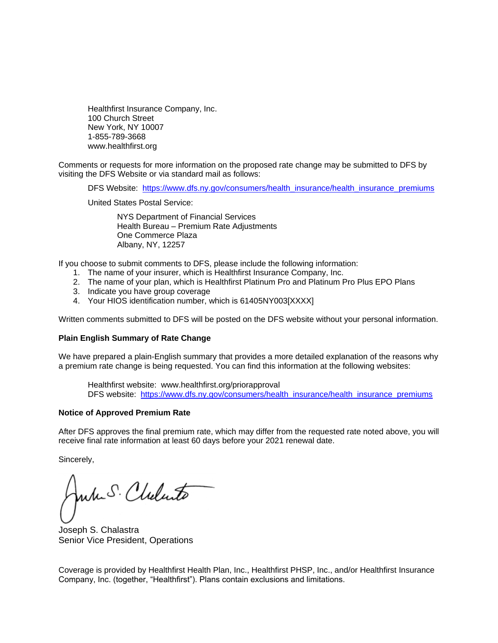Healthfirst Insurance Company, Inc. 100 Church Street New York, NY 10007 1-855-789-3668 www.healthfirst.org

Comments or requests for more information on the proposed rate change may be submitted to DFS by visiting the DFS Website or via standard mail as follows:

DFS Website: [https://www.dfs.ny.gov/consumers/health\\_insurance/health\\_insurance\\_premiums](https://www.dfs.ny.gov/consumers/health_insurance/health_insurance_premiums)

United States Postal Service:

NYS Department of Financial Services Health Bureau – Premium Rate Adjustments One Commerce Plaza Albany, NY, 12257

If you choose to submit comments to DFS, please include the following information:

- 1. The name of your insurer, which is Healthfirst Insurance Company, Inc.
- 2. The name of your plan, which is Healthfirst Platinum Pro and Platinum Pro Plus EPO Plans
- 3. Indicate you have group coverage
- 4. Your HIOS identification number, which is 61405NY003[XXXX]

Written comments submitted to DFS will be posted on the DFS website without your personal information.

### **Plain English Summary of Rate Change**

We have prepared a plain-English summary that provides a more detailed explanation of the reasons why a premium rate change is being requested. You can find this information at the following websites:

Healthfirst website: www.healthfirst.org/priorapproval DFS website: [https://www.dfs.ny.gov/consumers/health\\_insurance/health\\_insurance\\_premiums](https://www.dfs.ny.gov/consumers/health_insurance/health_insurance_premiums)

# **Notice of Approved Premium Rate**

After DFS approves the final premium rate, which may differ from the requested rate noted above, you will receive final rate information at least 60 days before your 2021 renewal date.

Sincerely,

wh S. Cheluto

Joseph S. Chalastra Senior Vice President, Operations

Coverage is provided by Healthfirst Health Plan, Inc., Healthfirst PHSP, Inc., and/or Healthfirst Insurance Company, Inc. (together, "Healthfirst"). Plans contain exclusions and limitations.